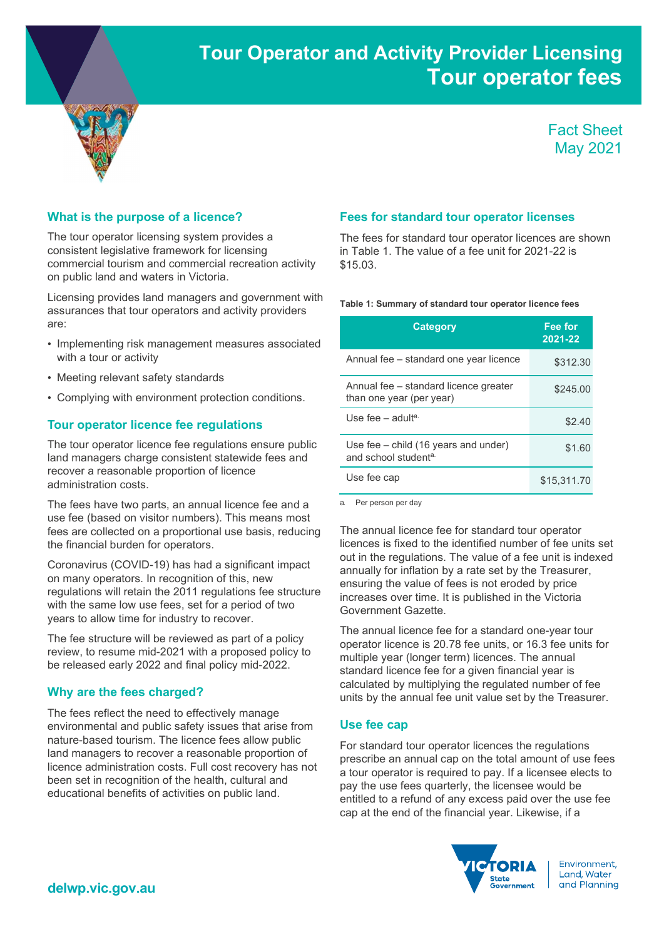# Tour Operator and Activity Provider Licensing Tour operator fees



## Fact Sheet May 2021

#### What is the purpose of a licence?

The tour operator licensing system provides a consistent legislative framework for licensing commercial tourism and commercial recreation activity on public land and waters in Victoria.

Licensing provides land managers and government with assurances that tour operators and activity providers are:

- Implementing risk management measures associated with a tour or activity
- Meeting relevant safety standards
- Complying with environment protection conditions.

#### Tour operator licence fee regulations

The tour operator licence fee regulations ensure public land managers charge consistent statewide fees and recover a reasonable proportion of licence administration costs.

The fees have two parts, an annual licence fee and a use fee (based on visitor numbers). This means most fees are collected on a proportional use basis, reducing the financial burden for operators.

Coronavirus (COVID-19) has had a significant impact on many operators. In recognition of this, new regulations will retain the 2011 regulations fee structure with the same low use fees, set for a period of two years to allow time for industry to recover.

The fee structure will be reviewed as part of a policy review, to resume mid-2021 with a proposed policy to be released early 2022 and final policy mid-2022.

#### Why are the fees charged?

The fees reflect the need to effectively manage environmental and public safety issues that arise from nature-based tourism. The licence fees allow public land managers to recover a reasonable proportion of licence administration costs. Full cost recovery has not been set in recognition of the health, cultural and educational benefits of activities on public land.

#### Fees for standard tour operator licenses

The fees for standard tour operator licences are shown in Table 1. The value of a fee unit for 2021-22 is \$15.03.

#### Table 1: Summary of standard tour operator licence fees

| <b>Category</b>                                                            | Fee for<br>$2021 - 22$ |
|----------------------------------------------------------------------------|------------------------|
| Annual fee – standard one year licence                                     | \$312.30               |
| Annual fee – standard licence greater<br>than one year (per year)          | \$245.00               |
| Use fee $-$ adulta.                                                        | \$2.40                 |
| Use fee $-$ child (16 years and under)<br>and school student <sup>a.</sup> | \$1.60                 |
| Use fee cap                                                                | \$15.311.70            |

a. Per person per day

The annual licence fee for standard tour operator licences is fixed to the identified number of fee units set out in the regulations. The value of a fee unit is indexed annually for inflation by a rate set by the Treasurer, ensuring the value of fees is not eroded by price increases over time. It is published in the Victoria Government Gazette.

The annual licence fee for a standard one-year tour operator licence is 20.78 fee units, or 16.3 fee units for multiple year (longer term) licences. The annual standard licence fee for a given financial year is calculated by multiplying the regulated number of fee units by the annual fee unit value set by the Treasurer.

#### Use fee cap

For standard tour operator licences the regulations prescribe an annual cap on the total amount of use fees a tour operator is required to pay. If a licensee elects to pay the use fees quarterly, the licensee would be entitled to a refund of any excess paid over the use fee cap at the end of the financial year. Likewise, if a



Environment. Land, Water and Planning